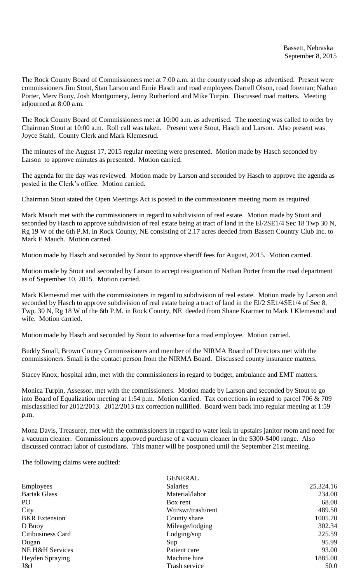The Rock County Board of Commissioners met at 7:00 a.m. at the county road shop as advertised. Present were commissioners Jim Stout, Stan Larson and Ernie Hasch and road employees Darrell Olson, road foreman; Nathan Porter, Merv Buoy, Josh Montgomery, Jenny Rutherford and Mike Turpin. Discussed road matters. Meeting adjourned at 8:00 a.m.

The Rock County Board of Commissioners met at 10:00 a.m. as advertised. The meeting was called to order by Chairman Stout at 10:00 a.m. Roll call was taken. Present were Stout, Hasch and Larson. Also present was Joyce Stahl, County Clerk and Mark Klemesrud.

The minutes of the August 17, 2015 regular meeting were presented. Motion made by Hasch seconded by Larson to approve minutes as presented. Motion carried.

The agenda for the day was reviewed. Motion made by Larson and seconded by Hasch to approve the agenda as posted in the Clerk's office. Motion carried.

Chairman Stout stated the Open Meetings Act is posted in the commissioners meeting room as required.

Mark Mauch met with the commissioners in regard to subdivision of real estate. Motion made by Stout and seconded by Hasch to approve subdivision of real estate being at tract of land in the El/2SE1/4 Sec 18 Twp 30 N, Rg 19 W of the 6th P.M. in Rock County, NE consisting of 2.17 acres deeded from Bassett Country Club Inc. to Mark E Mauch. Motion carried.

Motion made by Hasch and seconded by Stout to approve sheriff fees for August, 2015. Motion carried.

Motion made by Stout and seconded by Larson to accept resignation of Nathan Porter from the road department as of September 10, 2015. Motion carried.

Mark Klemesrud met with the commissioners in regard to subdivision of real estate. Motion made by Larson and seconded by Hasch to approve subdivision of real estate being a tract of land in the El/2 SE1/4SE1/4 of Sec 8, Twp. 30 N, Rg 18 W of the 6th P.M. in Rock County, NE deeded from Shane Krarmer to Mark J Klemesrud and wife. Motion carried.

Motion made by Hasch and seconded by Stout to advertise for a road employee. Motion carried.

Buddy Small, Brown County Commissioners and member of the NIRMA Board of Directors met with the commissioners. Small is the contact person from the NIRMA Board. Discussed county insurance matters.

Stacey Knox, hospital adm, met with the commissioners in regard to budget, ambulance and EMT matters.

Monica Turpin, Assessor, met with the commissioners. Motion made by Larson and seconded by Stout to go into Board of Equalization meeting at 1:54 p.m. Motion carried. Tax corrections in regard to parcel 706 & 709 misclassified for 2012/2013. 2012/2013 tax correction nullified. Board went back into regular meeting at 1:59 p.m.

Mona Davis, Treasurer, met with the commissioners in regard to water leak in upstairs janitor room and need for a vacuum cleaner. Commissioners approved purchase of a vacuum cleaner in the \$300-\$400 range. Also discussed contract labor of custodians. This matter will be postponed until the September 21st meeting.

The following claims were audited:

|                        | <b>GENERAL</b>     |           |
|------------------------|--------------------|-----------|
| <b>Employees</b>       | <b>Salaries</b>    | 25,324.16 |
| <b>Bartak Glass</b>    | Material/labor     | 234.00    |
| P <sub>O</sub>         | Box rent           | 68.00     |
| City                   | Wtr/swr/trash/rent | 489.50    |
| <b>BKR</b> Extension   | County share       | 1005.70   |
| D Buoy                 | Mileage/lodging    | 302.34    |
| Citibusiness Card      | $L$ odging/sup     | 225.59    |
| Dugan                  | Sup                | 95.99     |
| NE H&H Services        | Patient care       | 93.00     |
| <b>Heyden Spraying</b> | Machine hire       | 1885.00   |
| J&J                    | Trash service      | 50.0      |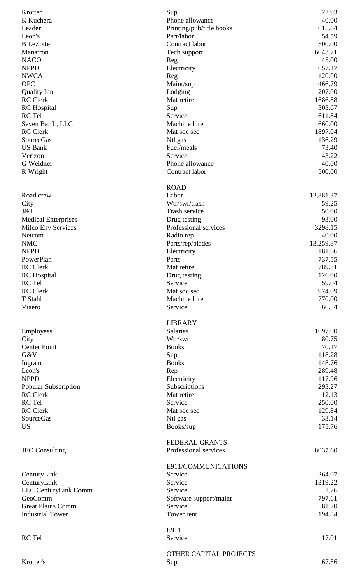| Krotter                         | Sup                      | 22.93             |
|---------------------------------|--------------------------|-------------------|
| K Kuchera                       | Phone allowance          | 40.00             |
| Leader                          | Printing/pub/title books | 615.64            |
| Leon's                          | Part/labor               | 54.59             |
| <b>B</b> LeZotte                | Contract labor           | 500.00            |
| Manatron                        | Tech support             | 6043.71           |
| <b>NACO</b>                     | Reg                      | 45.00             |
| <b>NPPD</b>                     | Electricity              | 657.17            |
| <b>NWCA</b>                     | Reg                      | 120.00            |
| <b>OPC</b>                      | Maint/sup                | 466.79            |
| <b>Quality Inn</b>              | Lodging                  | 207.00            |
| <b>RC</b> Clerk                 | Mat retire               | 1686.88           |
| <b>RC</b> Hospital              | Sup                      | 303.67            |
| RC Tel                          | Service                  | 611.84            |
| Seven Bar L, LLC                | Machine hire             | 660.00            |
| <b>RC</b> Clerk                 | Mat soc sec              | 1897.04           |
| <b>SourceGas</b>                | Ntl gas                  | 136.29            |
| <b>US Bank</b>                  | Fuel/meals               | 73.40             |
| Verizon                         | Service                  | 43.22             |
| G Weidner                       | Phone allowance          | 40.00             |
| R Wright                        | Contract labor           | 500.00            |
|                                 | <b>ROAD</b>              |                   |
| Road crew                       | Labor                    | 12,881.37         |
| City                            | Wtr/swr/trash            | 59.25             |
| J&J                             | Trash service            | 50.00             |
| <b>Medical Enterprises</b>      | Drug testing             | 93.00             |
| <b>Milco Env Services</b>       | Professional services    | 3298.15           |
| Netcom                          | Radio rep                | 40.00             |
| <b>NMC</b>                      | Parts/rep/blades         | 13,259.87         |
| <b>NPPD</b>                     | Electricity              | 181.66            |
| PowerPlan                       | Parts                    | 737.55            |
| <b>RC</b> Clerk                 | Mat retire               | 789.31            |
| <b>RC</b> Hospital              | Drug testing             | 126.00            |
| RC Tel                          | Service                  | 59.04             |
| <b>RC</b> Clerk                 | Mat soc sec              | 974.09            |
| T Stahl                         | Machine hire             | 770.00            |
| Viaero                          | Service                  | 66.54             |
|                                 | <b>LIBRARY</b>           |                   |
| Employees                       | <b>Salaries</b>          | 1697.00           |
| City                            | Wtr/swr                  | 80.75             |
| <b>Center Point</b>             | <b>Books</b>             | 70.17             |
| G&V                             | Sup                      | 118.28            |
| Ingram                          | <b>Books</b>             | 148.76            |
| Leon's                          | Rep                      | 289.48            |
| <b>NPPD</b>                     | Electricity              | 117.96            |
| <b>Popular Subscription</b>     | Subscriptions            | 293.27            |
| <b>RC</b> Clerk                 | Mat retire               | 12.13             |
| RC Tel                          | Service                  | 250.00            |
| <b>RC</b> Clerk                 | Mat soc sec              | 129.84            |
| SourceGas                       | Ntl gas                  | 33.14             |
| <b>US</b>                       | Books/sup                | 175.76            |
|                                 | <b>FEDERAL GRANTS</b>    |                   |
| <b>JEO</b> Consulting           | Professional services    | 8037.60           |
|                                 |                          |                   |
|                                 | E911/COMMUNICATIONS      |                   |
| CenturyLink                     | Service<br>Service       | 264.07<br>1319.22 |
| CenturyLink                     |                          |                   |
| LLC CenturyLink Comm<br>GeoComm | Service                  | 2.76<br>797.61    |
|                                 | Software support/maint   |                   |
| <b>Great Plains Comm</b>        | Service                  | 81.20             |
| <b>Industrial Tower</b>         | Tower rent               | 194.84            |
|                                 | E911                     |                   |
| RC Tel                          | Service                  | 17.01             |
|                                 | OTHER CAPITAL PROJECTS   |                   |
| Krotter's                       | Sup                      | 67.86             |